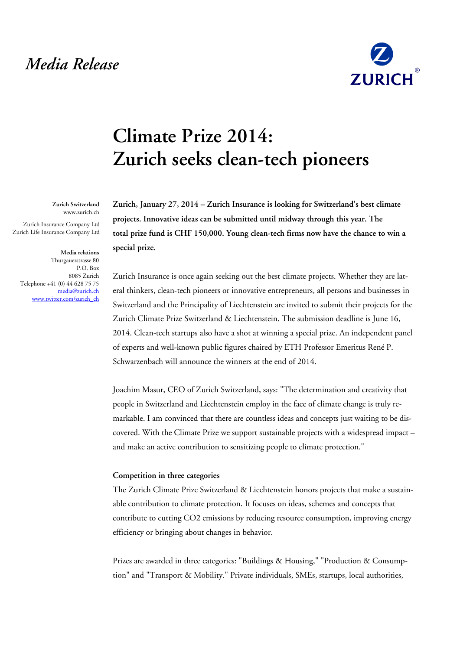## *Media Release*



# **Climate Prize 2014: Zurich seeks clean-tech pioneers**

**Zurich, January 27, 2014 – Zurich Insurance is looking for Switzerland's best climate projects. Innovative ideas can be submitted until midway through this year. The total prize fund is CHF 150,000. Young clean-tech firms now have the chance to win a special prize.**

Zurich Insurance is once again seeking out the best climate projects. Whether they are lateral thinkers, clean-tech pioneers or innovative entrepreneurs, all persons and businesses in Switzerland and the Principality of Liechtenstein are invited to submit their projects for the Zurich Climate Prize Switzerland & Liechtenstein. The submission deadline is June 16, 2014. Clean-tech startups also have a shot at winning a special prize. An independent panel of experts and well-known public figures chaired by ETH Professor Emeritus René P. Schwarzenbach will announce the winners at the end of 2014.

Joachim Masur, CEO of Zurich Switzerland, says: "The determination and creativity that people in Switzerland and Liechtenstein employ in the face of climate change is truly remarkable. I am convinced that there are countless ideas and concepts just waiting to be discovered. With the Climate Prize we support sustainable projects with a widespread impact – and make an active contribution to sensitizing people to climate protection."

#### **Competition in three categories**

The Zurich Climate Prize Switzerland & Liechtenstein honors projects that make a sustainable contribution to climate protection. It focuses on ideas, schemes and concepts that contribute to cutting CO2 emissions by reducing resource consumption, improving energy efficiency or bringing about changes in behavior.

Prizes are awarded in three categories: "Buildings & Housing," "Production & Consumption" and "Transport & Mobility." Private individuals, SMEs, startups, local authorities,

**Zurich Switzerland** www.zurich.ch

Zurich Insurance Company Ltd Zurich Life Insurance Company Ltd

#### **Media relations**

Thurgauerstrasse 80 P.O. Box 8085 Zurich Telephone +41 (0) 44 628 75 75 [media@zurich.ch](mailto:media@zurich.ch) [www.twitter.com/zurich\\_ch](http://www.twitter.com/zurich_ch)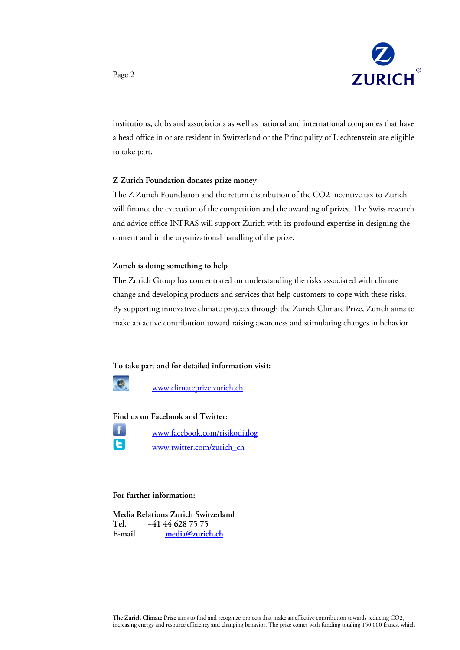

institutions, clubs and associations as well as national and international companies that have a head office in or are resident in Switzerland or the Principality of Liechtenstein are eligible to take part.

#### **Z Zurich Foundation donates prize money**

The Z Zurich Foundation and the return distribution of the CO2 incentive tax to Zurich will finance the execution of the competition and the awarding of prizes. The Swiss research and advice office INFRAS will support Zurich with its profound expertise in designing the content and in the organizational handling of the prize.

#### **Zurich is doing something to help**

The Zurich Group has concentrated on understanding the risks associated with climate change and developing products and services that help customers to cope with these risks. By supporting innovative climate projects through the Zurich Climate Prize, Zurich aims to make an active contribution toward raising awareness and stimulating changes in behavior.

**To take part and for detailed information visit:**



[www.climateprize.zurich.ch](http://www.climateprize.zurich.ch/)

#### **Find us on Facebook and Twitter:**

E

[www.facebook.com/risikodialog](http://www.facebook.com/risikodialog)

[www.twitter.com/zurich\\_ch](http://www.twitter.com/zurich_ch)

### **For further information:**

**Media Relations Zurich Switzerland Tel. +41 44 628 75 75 E-mail [media@zurich.ch](mailto:media@zurich.ch)**